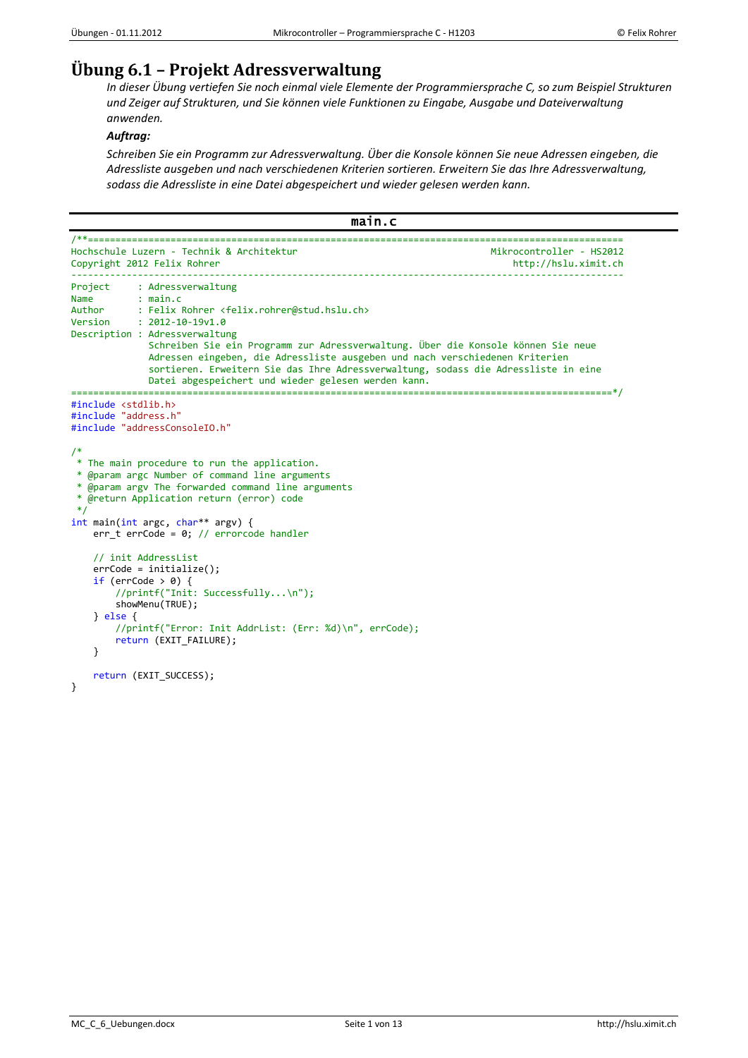# **Übung 6.1 – Projekt Adressverwaltung**

*In dieser Übung vertiefen Sie noch einmal viele Elemente der Programmiersprache C, so zum Beispiel Strukturen und Zeiger auf Strukturen, und Sie können viele Funktionen zu Eingabe, Ausgabe und Dateiverwaltung anwenden.*

# *Auftrag:*

*Schreiben Sie ein Programm zur Adressverwaltung. Über die Konsole können Sie neue Adressen eingeben, die Adressliste ausgeben und nach verschiedenen Kriterien sortieren. Erweitern Sie das Ihre Adressverwaltung, sodass die Adressliste in eine Datei abgespeichert und wieder gelesen werden kann.*

```
main.c 
/**=================================================================================================
Hochschule Luzern - Technik & Architektur
Copyright 2012 Felix Rohrer http://hslu.ximit.ch
                                         ----------------------------------------------------------------------------------------------------
Project : Adressverwaltung
Name : main.c<br>Author : Felix
Author : Felix Rohrer <felix.rohrer@stud.hslu.ch><br>Version : 2012-10-19v1.0
            : 2012 - 10 - 19v1.0Description : Adressverwaltung
               Schreiben Sie ein Programm zur Adressverwaltung. Über die Konsole können Sie neue
               Adressen eingeben, die Adressliste ausgeben und nach verschiedenen Kriterien
                sortieren. Erweitern Sie das Ihre Adressverwaltung, sodass die Adressliste in eine
               Datei abgespeichert und wieder gelesen werden kann.
==================================================================================================*/
#include <stdlib.h>
#include "address.h"
#include "addressConsoleIO.h"
/*
* The main procedure to run the application.
 * @param argc Number of command line arguments
 * @param argv The forwarded command line arguments
 * @return Application return (error) code
 */
int main(int argc, char** argv) {
 err_t errCode = 0; // errorcode handler
     // init AddressList
     errCode = initialize();
    if (errCode > 0) {
         //printf("Init: Successfully...\n");
         showMenu(TRUE);
     } else {
         //printf("Error: Init AddrList: (Err: %d)\n", errCode);
         return (EXIT_FAILURE);
     }
     return (EXIT_SUCCESS);
}
```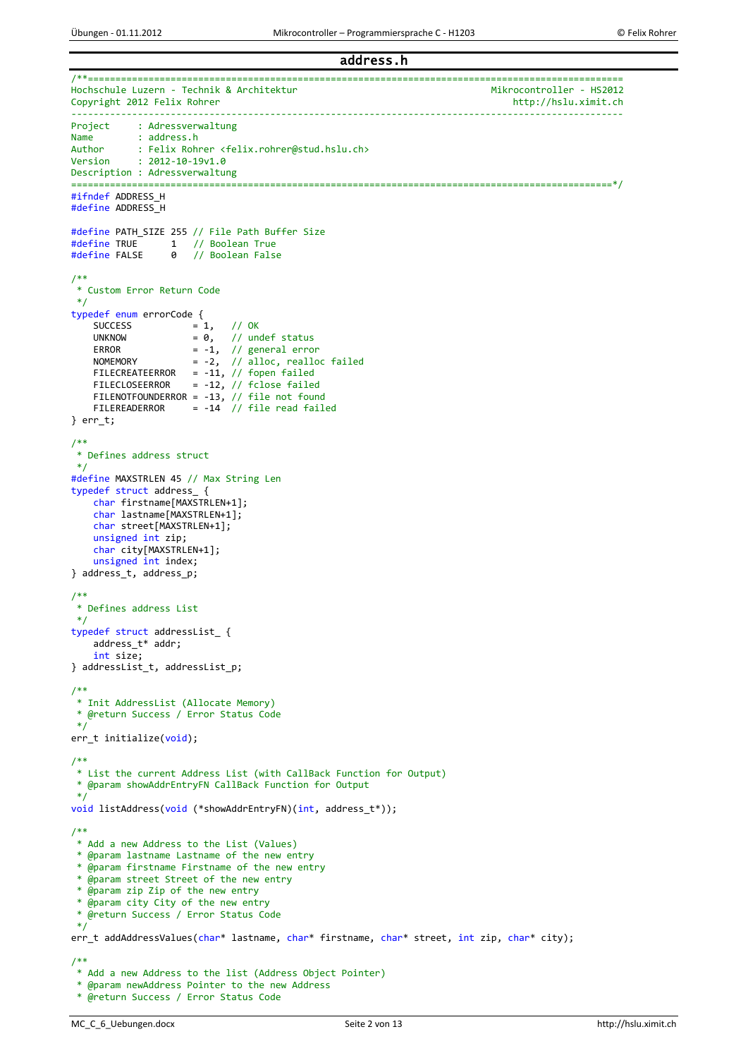address.h

```
/**=================================================================================================
Hochschule Luzern - Technik & Architektur<br>Copyright 2012 Felix Rohrer Mikrocontroller - HS2012
Copyright 2012 Felix Rohrer
                                     ----------------------------------------------------------------------------------------------------
Project : Adressverwaltung
Name : address.h<br>Author : Felix Robr
Author : Felix Rohrer <felix.rohrer@stud.hslu.ch><br>Version : 2012-10-19v1.0
            : 2012 - 10 - 19v1.0Description : Adressverwaltung
==================================================================================================*/
#ifndef ADDRESS_H
#define ADDRESS_H
#define PATH_SIZE 255 // File Path Buffer Size
#define TRUE 1 // Boolean True
#define FALSE 0 // Boolean False
/**
 * Custom Error Return Code
*/
typedef enum errorCode {
    SUCCESS = 1, // OK<br>UNKNOW = 0, // uncUNKNOW = \theta, // undef status<br>ERROR = -1, // general erro
    ERROR = -1, // general error<br>NOMEMORY = -2, // alloc, realloc
                       = -2, // alloc, realloc failed
    FILECREATEERROR = -11, // fopen failed<br>FILECLOSEERROR = -12, // fclose failed
                       = -12, // fclose failed
 FILENOTFOUNDERROR = -13, // file not found
 FILEREADERROR = -14 // file read failed
} err_t;
/**
 * Defines address struct
 */
#define MAXSTRLEN 45 // Max String Len 
typedef struct address_ {
     char firstname[MAXSTRLEN+1];
     char lastname[MAXSTRLEN+1];
     char street[MAXSTRLEN+1];
     unsigned int zip;
     char city[MAXSTRLEN+1];
     unsigned int index;
} address_t, address_p;
/**
* Defines address List
*/
typedef struct addressList_ {
     address_t* addr;
     int size;
} addressList_t, addressList_p;
/**
* Init AddressList (Allocate Memory)
 * @return Success / Error Status Code
 */
err_t initialize(void);
/**
 * List the current Address List (with CallBack Function for Output)
 * @param showAddrEntryFN CallBack Function for Output
 */
void listAddress(void (*showAddrEntryFN)(int, address_t*));
/**
* Add a new Address to the List (Values)
 * @param lastname Lastname of the new entry
 * @param firstname Firstname of the new entry
 * @param street Street of the new entry
 * @param zip Zip of the new entry
 * @param city City of the new entry
 * @return Success / Error Status Code
 */
err t addAddressValues(char* lastname, char* firstname, char* street, int zip, char* city);
/**
* Add a new Address to the list (Address Object Pointer)
 * @param newAddress Pointer to the new Address
 * @return Success / Error Status Code
```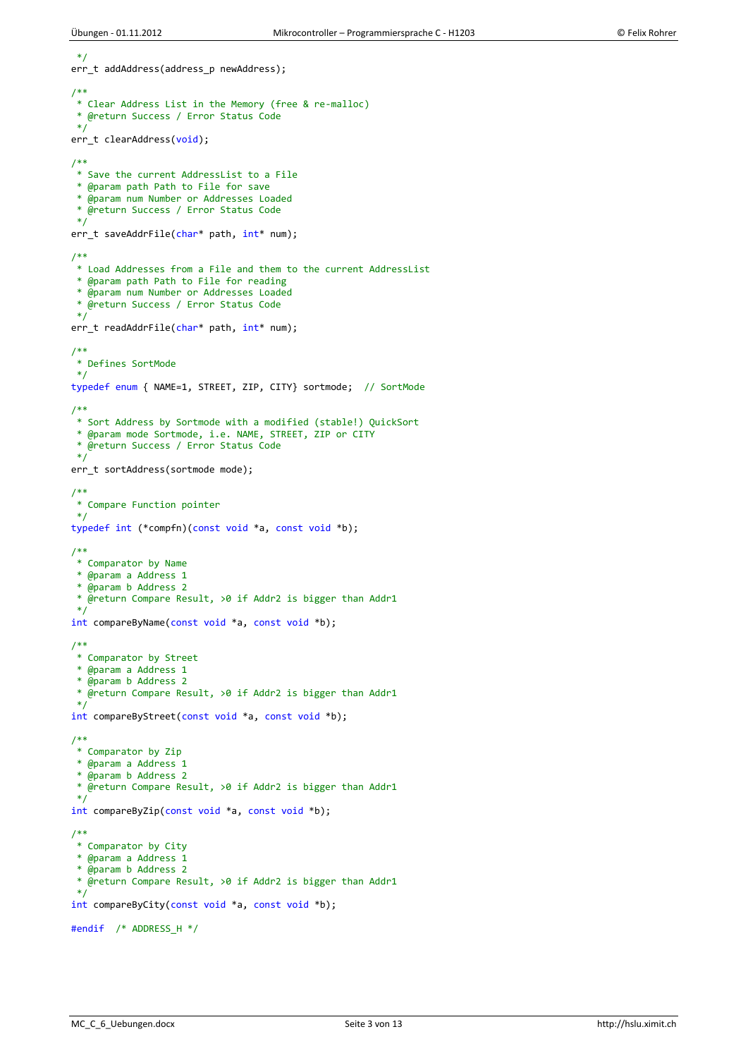\*/

```
err_t addAddress(address_p newAddress);
/**
* Clear Address List in the Memory (free & re-malloc)
* @return Success / Error Status Code
*/
err_t clearAddress(void);
/**
* Save the current AddressList to a File
* @param path Path to File for save
 * @param num Number or Addresses Loaded
 * @return Success / Error Status Code
*/
err_t saveAddrFile(char* path, int* num);
/**
* Load Addresses from a File and them to the current AddressList
* @param path Path to File for reading
 * @param num Number or Addresses Loaded
 * @return Success / Error Status Code
 */
err_t readAddrFile(char* path, int* num);
/**
* Defines SortMode
*/
typedef enum { NAME=1, STREET, ZIP, CITY} sortmode; // SortMode
/**
* Sort Address by Sortmode with a modified (stable!) QuickSort
* @param mode Sortmode, i.e. NAME, STREET, ZIP or CITY
 * @return Success / Error Status Code
 */
err_t sortAddress(sortmode mode);
/**
* Compare Function pointer
*/
typedef int (*compfn)(const void *a, const void *b);
/**
* Comparator by Name
 * @param a Address 1
 * @param b Address 2
* @return Compare Result, >0 if Addr2 is bigger than Addr1
 */
int compareByName(const void *a, const void *b);
/**
* Comparator by Street
 * @param a Address 1
 * @param b Address 2
 * @return Compare Result, >0 if Addr2 is bigger than Addr1
*/
int compareByStreet(const void *a, const void *b);
/**
* Comparator by Zip
 * @param a Address 1
 * @param b Address 2
 * @return Compare Result, >0 if Addr2 is bigger than Addr1
 */
int compareByZip(const void *a, const void *b);
/**
* Comparator by City
 * @param a Address 1
 * @param b Address 2
* @return Compare Result, >0 if Addr2 is bigger than Addr1
 */
int compareByCity(const void *a, const void *b);
#endif /* ADDRESS_H */
```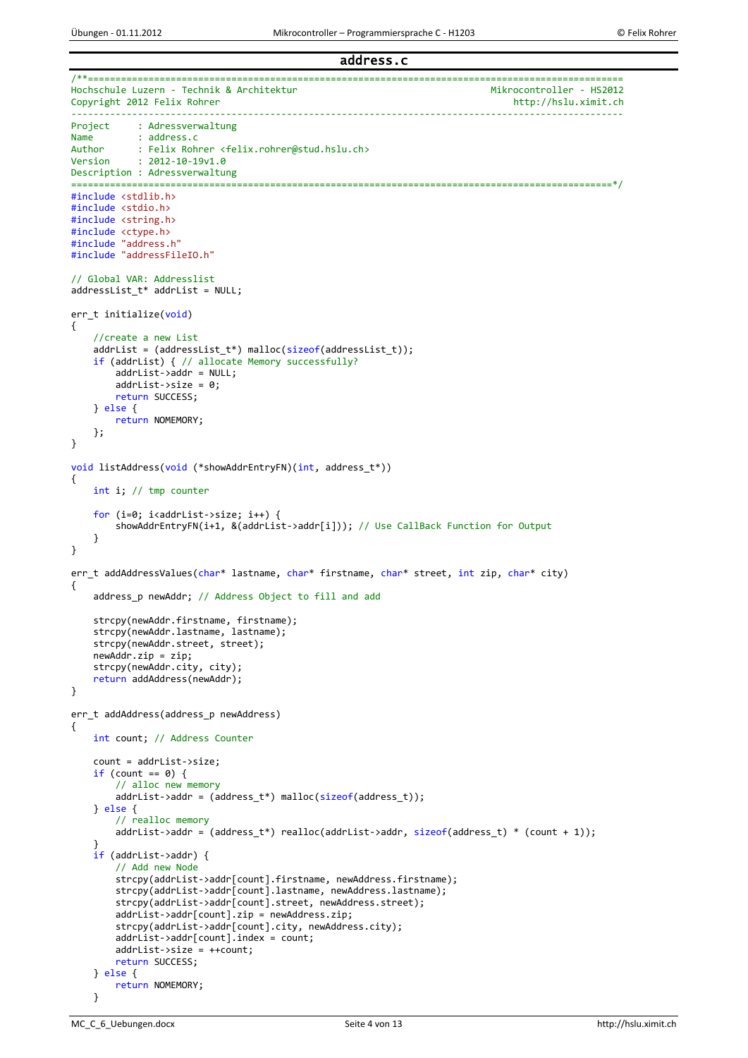address.c

```
/**=================================================================================================
Hochschule Luzern - Technik & Architektur<br>Copyright 2012 Felix Rohrer Mikrocontroller - HS2012
Copyright 2012 Felix Rohrer
                                           ----------------------------------------------------------------------------------------------------
Project : Adressverwaltung
Name : address.c<br>Author : Felix Roh
Author : Felix Rohrer <felix.rohrer@stud.hslu.ch><br>Version : 2012-10-19v1.0
            : 2012 - 10 - 19v1.0Description : Adressverwaltung
==================================================================================================*/
#include <stdlib.h>
#include <stdio.h>
#include <string.h>
#include <ctype.h>
#include "address.h"
#include "addressFileIO.h"
// Global VAR: Addresslist
addressList_t* addrList = NULL;
err t initialize(void)
{
     //create a new List
     addrList = (addressList_t*) malloc(sizeof(addressList_t));
     if (addrList) { // allocate Memory successfully?
         addrList->addr = NULL;
         addrList->size = 0;
         return SUCCESS;
     } else {
         return NOMEMORY;
     };
}
void listAddress(void (*showAddrEntryFN)(int, address t*))
{
     int i; // tmp counter
    for (i=0; i<addrList->size; i++) {
         showAddrEntryFN(i+1, &(addrList->addr[i])); // Use CallBack Function for Output
     }
}
err_t addAddressValues(char* lastname, char* firstname, char* street, int zip, char* city)
{
     address_p newAddr; // Address Object to fill and add
     strcpy(newAddr.firstname, firstname);
     strcpy(newAddr.lastname, lastname);
     strcpy(newAddr.street, street);
    newAddr.zip = zip; strcpy(newAddr.city, city);
     return addAddress(newAddr);
}
err_t addAddress(address_p newAddress)
{
     int count; // Address Counter
     count = addrList->size;
    if (count == 0) {
          // alloc new memory
        addrList->addr = (address_t*) malloc(sizeof(address_t));
     } else {
         // realloc memory
        addrList->addr = (address_t*) realloc(addrList->addr, sizeof(address_t) * (count + 1));
     }
     if (addrList->addr) {
         // Add new Node
         strcpy(addrList->addr[count].firstname, newAddress.firstname);
         strcpy(addrList->addr[count].lastname, newAddress.lastname);
         strcpy(addrList->addr[count].street, newAddress.street);
        addrList\text{-}zaddr[count].zip = newAddress,zip; strcpy(addrList->addr[count].city, newAddress.city);
         addrList->addr[count].index = count;
         addrList->size = ++count;
         return SUCCESS;
     } else {
         return NOMEMORY;
     }
```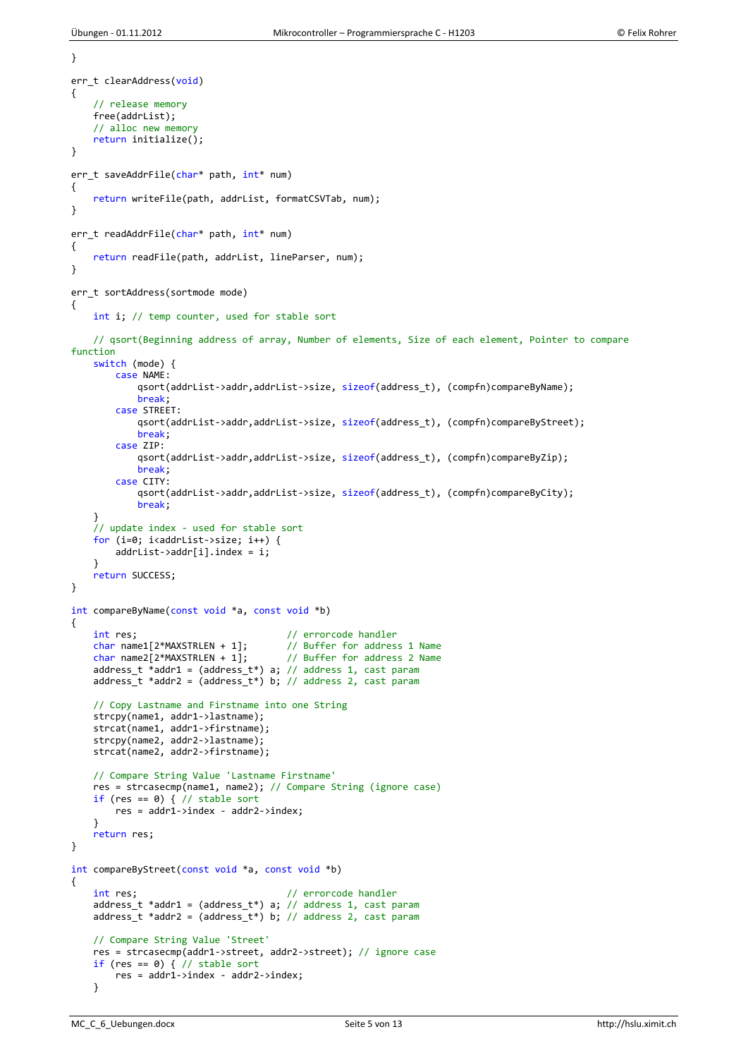```
}
err t clearAddress(void)
{
     // release memory
     free(addrList);
     // alloc new memory
     return initialize();
}
err t saveAddrFile(char* path, int* num)
{
     return writeFile(path, addrList, formatCSVTab, num);
}
err_t readAddrFile(char* path, int* num)
{
     return readFile(path, addrList, lineParser, num);
}
err t sortAddress(sortmode mode)
{
     int i; // temp counter, used for stable sort
     // qsort(Beginning address of array, Number of elements, Size of each element, Pointer to compare 
function
     switch (mode) {
         case NAME:
            qsort(addrList->addr,addrList->size, sizeof(address t), (compfn)compareByName);
             break;
         case STREET:
             qsort(addrList->addr,addrList->size, sizeof(address_t), (compfn)compareByStreet);
             break;
         case ZIP:
             qsort(addrList->addr,addrList->size, sizeof(address_t), (compfn)compareByZip);
             break;
         case CITY:
             qsort(addrList->addr,addrList->size, sizeof(address_t), (compfn)compareByCity);
             break;
 }
     // update index - used for stable sort
    for (i=0; i<addrList->size; i++) {
        addrList\text{-}zaddr[i].index = i; }
     return SUCCESS;
}
int compareByName(const void *a, const void *b)
{
    int res;<br>
char name1[2*MAXSTRLEN + 1]; // Buffer for addres
                                         // Buffer for address 1 Name<br>// Buffer for address 2 Name
    char name2\overline{2}<sup>*</sup>MAXSTRLEN + 1];
    address t *addr1 = (address t*) a; // address 1, cast param
    address_t *addr2 = (address_t*) b; // address 2, cast param // Copy Lastname and Firstname into one String
     strcpy(name1, addr1->lastname);
     strcat(name1, addr1->firstname);
     strcpy(name2, addr2->lastname);
     strcat(name2, addr2->firstname);
     // Compare String Value 'Lastname Firstname'
     res = strcasecmp(name1, name2); // Compare String (ignore case)
    if (res == 0) { // stable sort
         res = addr1->index - addr2->index;
     }
     return res;
}
int compareByStreet(const void *a, const void *b)
{
    int res; \sqrt{2} // errorcode handler
    address_t *addr1 = (address_t*) a; \frac{1}{4} address 1, cast param
    address_t *addr = (address_t *) b; // address 2, cast param // Compare String Value 'Street'
     res = strcasecmp(addr1->street, addr2->street); // ignore case
    if (res == 0) { // stable sort
         res = addr1->index - addr2->index;
     }
```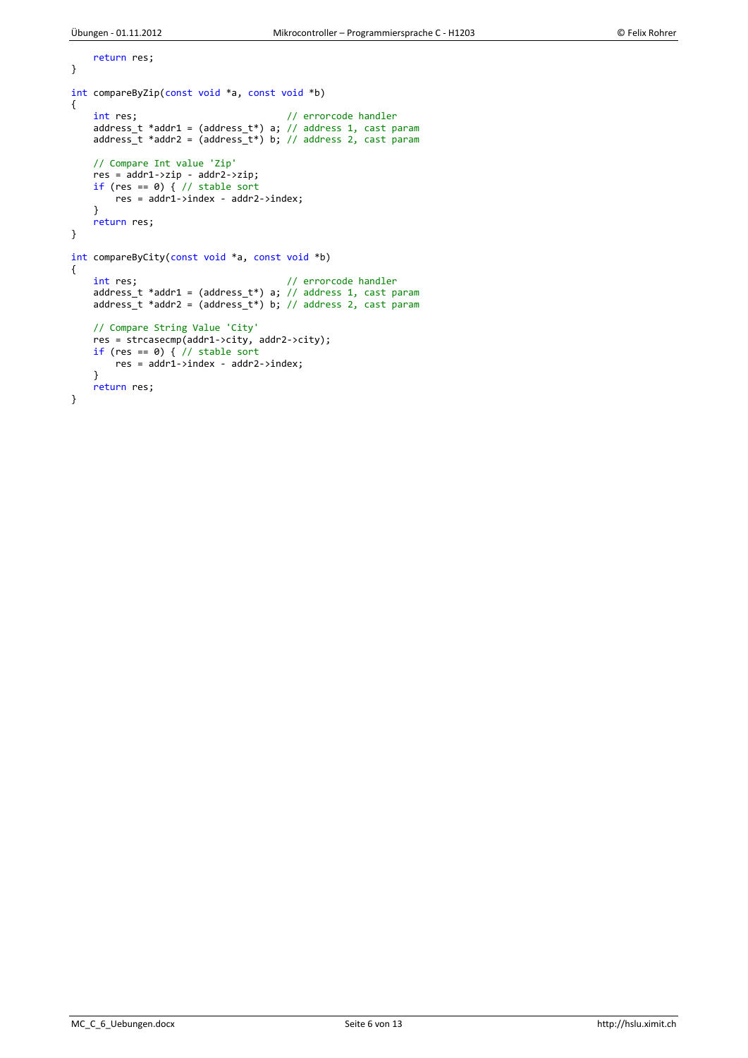```
 return res;
}
int compareByZip(const void *a, const void *b)
{
 int res; // errorcode handler
 address_t *addr1 = (address_t*) a; // address 1, cast param
 address_t *addr2 = (address_t*) b; // address 2, cast param
    // Compare Int value 'Zip'
 res = addr1->zip - addr2->zip;
 if (res == 0) { // stable sort
       res = addr1 - yindex - addr2 - yindex; }
     return res;
}
int compareByCity(const void *a, const void *b)
{
    int res; \frac{1}{2} // errorcode handler
    address_t *addr1 = (address_t*) a; // address 1, cast param
   adress_t *addr2 = (address_t*) b; // address 2, cast param // Compare String Value 'City'
 res = strcasecmp(addr1->city, addr2->city);
    if (res == \theta) { // stable sort
       res = addr1->index - addr2->index;
    }
     return res;
}
```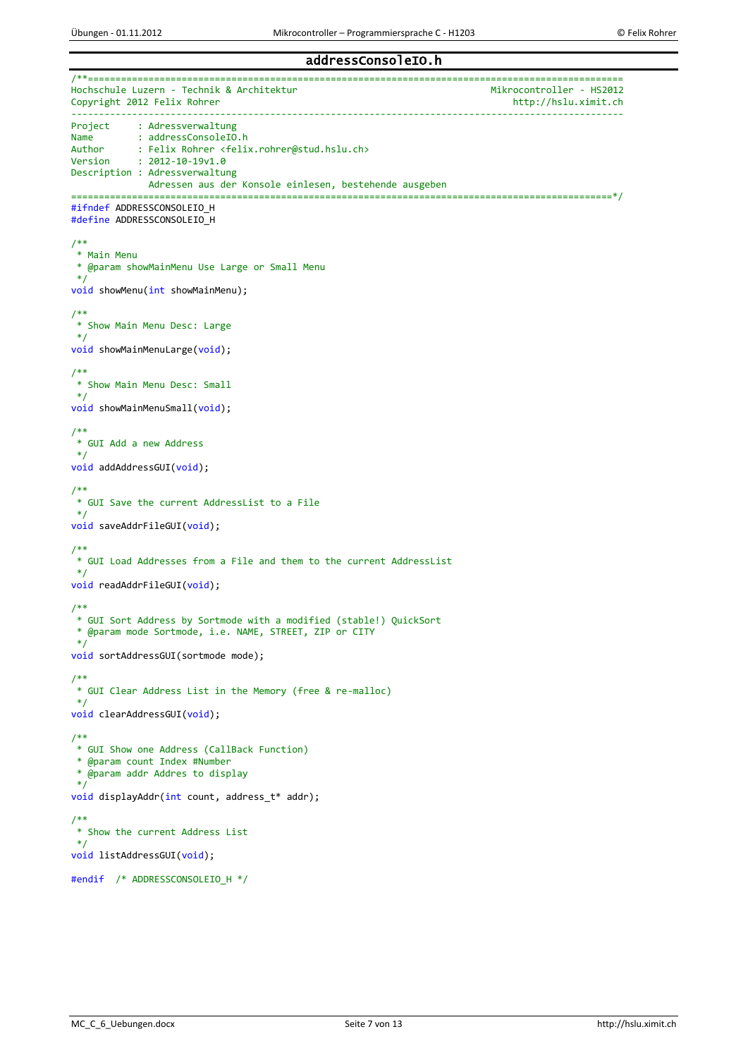#### addressConsoleIO.h

/\*\*================================================================================================= Hochschule Luzern - Technik & Architektur<br>Copyright 2012 Felix Rohrer Mikrocontroller - HS2012 Copyright 2012 Felix Rohrer ---------------------------------------------------------------------------------------------------- Project : Adressverwaltung<br>Name : addressConsoleIO. Name : addressConsoleIO.h<br>Author : Felix Rohrer <felix Author : Felix Rohrer <felix.rohrer@stud.hslu.ch><br>Version : 2012-10-19v1.0  $: 2012 - 10 - 19v1.0$ Description : Adressverwaltung Adressen aus der Konsole einlesen, bestehende ausgeben ==================================================================================================\*/ #ifndef ADDRESSCONSOLEIO\_H #define ADDRESSCONSOLEIO\_H /\*\* \* Main Menu \* @param showMainMenu Use Large or Small Menu \*/ void showMenu(int showMainMenu); /\*\* \* Show Main Menu Desc: Large \*/ void showMainMenuLarge(void); /\*\* \* Show Main Menu Desc: Small \*/ void showMainMenuSmall(void); /\*\*  $*$  GUI Add a new Address \*/ void addAddressGUI(void); /\*\* \* GUI Save the current AddressList to a File \*/ void saveAddrFileGUI(void); /\*\* \* GUI Load Addresses from a File and them to the current AddressList \*/ void readAddrFileGUI(void); /\*\* \* GUI Sort Address by Sortmode with a modified (stable!) QuickSort \* @param mode Sortmode, i.e. NAME, STREET, ZIP or CITY \*/ void sortAddressGUI(sortmode mode); /\*\* \* GUI Clear Address List in the Memory (free & re-malloc) \*/ void clearAddressGUI(void); /\*\* \* GUI Show one Address (CallBack Function) \* @param count Index #Number \* @param addr Addres to display \*/ void displayAddr(int count, address\_t\* addr); /\*\* \* Show the current Address List \*/ void listAddressGUI(void); #endif /\* ADDRESSCONSOLEIO\_H \*/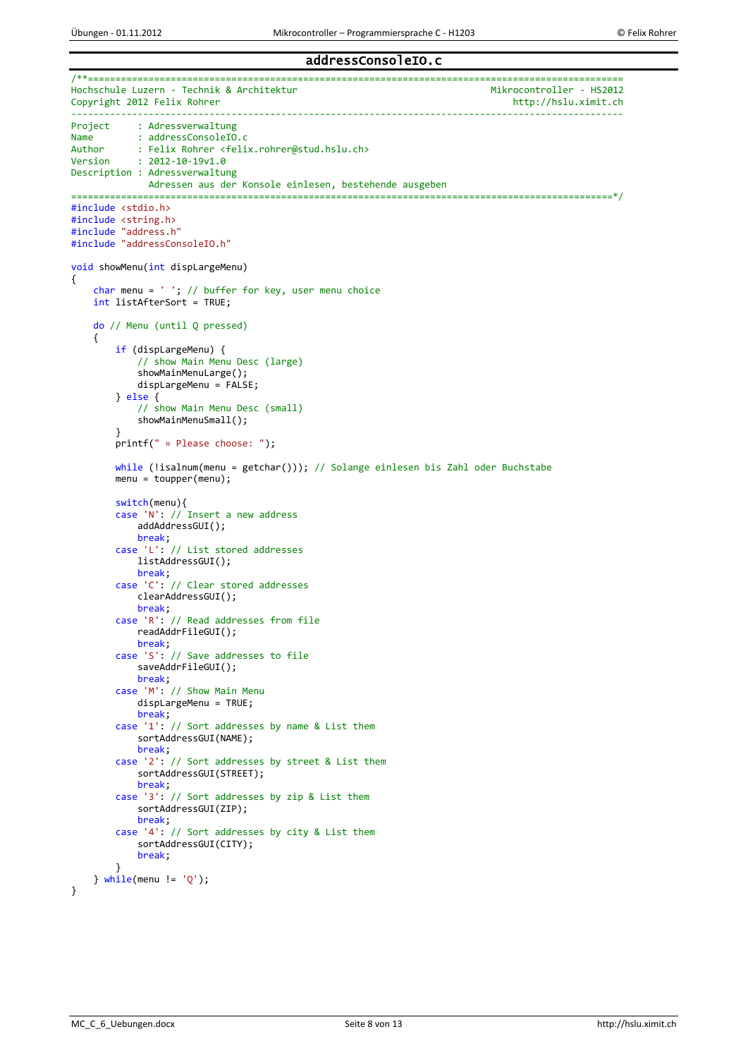#### addressConsoleIO.c

```
/**=================================================================================================
Hochschule Luzern - Technik & Architektur<br>Copyright 2012 Felix Rohrer Mikrocontroller - HS2012
Copyright 2012 Felix Rohrer
                                            ----------------------------------------------------------------------------------------------------
Project : Adressverwaltung<br>Name : addressConsoleIO
Name : addressConsoleIO.c<br>Author : Felix Robrer <felix
Author : Felix Rohrer <felix.rohrer@stud.hslu.ch><br>Version : 2012-10-19v1.0
            : 2012 - 10 - 19v1.0Description : Adressverwaltung
               Adressen aus der Konsole einlesen, bestehende ausgeben
==================================================================================================*/
#include <stdio.h>
#include <string.h>
#include "address.h"
#include "addressConsoleIO.h"
void showMenu(int dispLargeMenu)
{
    char menu = ' '; // buffer for key, user menu choice
     int listAfterSort = TRUE;
     do // Menu (until Q pressed)
     {
          if (dispLargeMenu) {
              // show Main Menu Desc (large)
              showMainMenuLarge();
              dispLargeMenu = FALSE;
          } else {
              // show Main Menu Desc (small)
              showMainMenuSmall();
 }
          printf(" » Please choose: ");
         while (!isalnum(menu = getchar())); // Solange einlesen bis Zahl oder Buchstabe
          menu = toupper(menu);
          switch(menu){
          case 'N': // Insert a new address
              addAddressGUI();
              break;
          case 'L': // List stored addresses
              listAddressGUI();
              break;
          case 'C': // Clear stored addresses
              clearAddressGUI();
              break;
          case 'R': // Read addresses from file
              readAddrFileGUI();
              break;
          case 'S': // Save addresses to file
              saveAddrFileGUI();
              break;
          case 'M': // Show Main Menu
              dispLargeMenu = TRUE;
              break;
          case '1': // Sort addresses by name & List them
              sortAddressGUI(NAME);
              break;
          case '2': // Sort addresses by street & List them
              sortAddressGUI(STREET);
              break;
          case '3': // Sort addresses by zip & List them
              sortAddressGUI(ZIP);
              break;
          case '4': // Sort addresses by city & List them
              sortAddressGUI(CITY);
              break;
 }
    } while(menu != 'Q');
}
```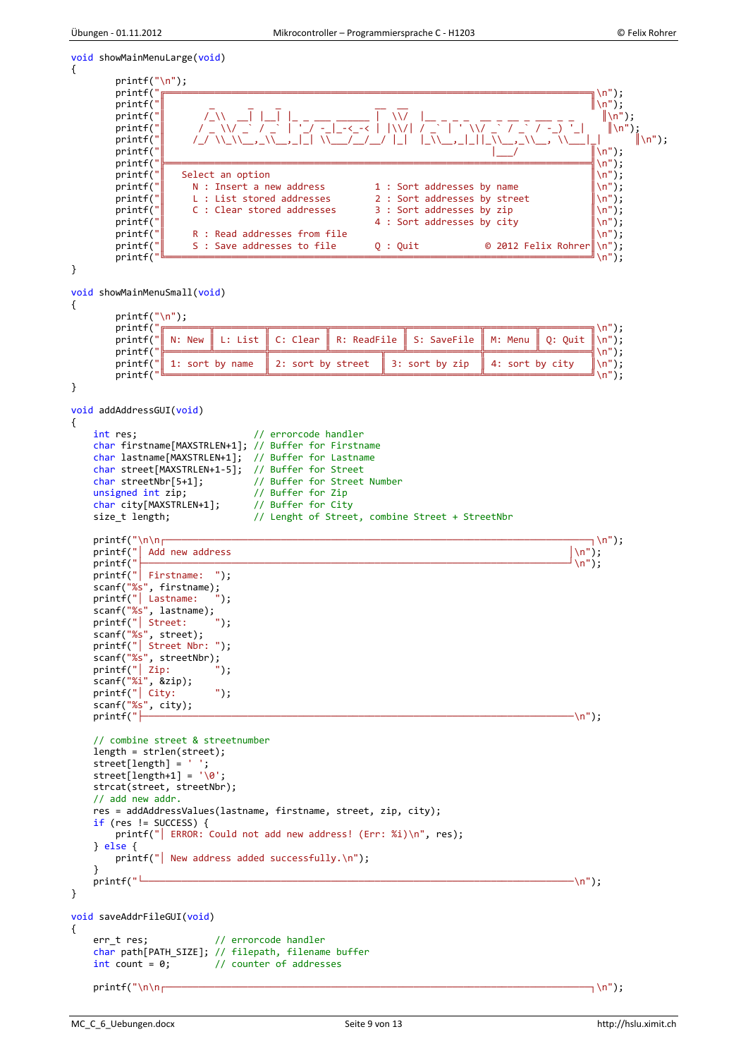```
void showMainMenuLarge(void)
{
        printf("\n");<br>printf("\frac{1}{\sqrt{2}} printf("╔═════════════════════════════════════════════════════════════════════════════╗\n");
 printf("║ _ _ _ __ __ ║\n");
printf("┃    /_\\ __| |__| |_ _ ___ ______ | \\/ |__ _ _ _ _ _ _ _ __ _ _ _ _    ||\n");
 printf("║ / _ \\/ _` / _` | '_/ -_|_-<_-< | |\\/| / _` | ' \\/ _` / _` / -_) '_| ║\n");
 printf("║ /_/ \\_\\__,_\\__,_|_| \\___/__/__/ |_| |_\\__,_|_||_\\__,_\\__, \\___|_| ║\n");
 printf("║ |___/ ║\n");
 printf("╠═════════════════════════════════════════════════════════════════════════════╣\n"); 
        printf(" Select an option \begin{array}{c} \text{printf("} \\ \text{N}: \text{Insert a new address} \end{array} 1 : Sort addresses by name \begin{array}{c} \text{minf("} \\ \text{minf(")} \end{array}printf(" \begin{array}{ccc} \text{N : Insert a new address} \\ \text{I : Sort addresses by name} \\ \text{I : List stored addresses} \\ \text{I : Sort addresses by street} \end{array}printf(" L: List stored addresses 2 : Sort addresses by street \begin{bmatrix} \n\langle n'' \rangle \end{bmatrix};<br>printf(" C: Clear stored addresses 3 : Sort addresses by zip \begin{bmatrix} \n\langle n'' \rangle \end{bmatrix};
        printf(" C : Clear stored addresses 3 : Sort addresses by zip \begin{bmatrix} \n\lambda^n \\
\lambda^n\n\end{bmatrix}; printf(" \begin{bmatrix} \n\lambda^n \\
\lambda^n\n\end{bmatrix};
        printf(" \begin{array}{c|c} \n\text{printf("} & 4: \text{Sort addresses by city} \\
\text{printf("} & \text{R}: \text{Read addresses from file} \\
\text{num1: } \n\end{array}Printf Read addresses from file<br>
printf(\mathbf{R} : Read addresses to file \mathbf{Q} : Quit \mathbf{Q} = 2012 Felix Rohrer \n");
         printf("║ S : Save addresses to file Q : Quit © 2012 Felix Rohrer║\n");
 printf("╚═════════════════════════════════════════════════════════════════════════════╝\n"); 
}
void showMainMenuSmall(void)
{
        printf("\n");<br>printf("\frac{1}{\sqrt{2}}printf("<del>╔══════╗╒═╒════╗</del>╤════╗╤
 printf("║ N: New ║ L: List ║ C: Clear ║ R: ReadFile ║ S: SaveFile ║ M: Menu ║ Q: Quit ║\n");
printf("<mark>╠══════╩═════╪</mark>════╧╬════╧╩════╤╤══╩════════╧╬═══════╧╚══════╧╩══════╣╲<sup>╖</sup>");
        printf("\begin{bmatrix} 1: \text{sort by name} \\ \text{printf} \end{bmatrix} 2: sort by street \begin{bmatrix} 3: \text{sort by zip} \\ \text{4: sort by city} \\ \text{ln"} \end{bmatrix} printf("╚══════════════════╩════════════════════╩═════════════════╩═══════════════════╝\n");
}
void addAddressGUI(void)
{
     int res; // errorcode handler
     char firstname[MAXSTRLEN+1]; // Buffer for Firstname
     char lastname[MAXSTRLEN+1]; // Buffer for Lastname
    char street[MAXSTRLEN+1-5]; // Buffer for Street<br>char streetNbr[5+1]; // Buffer for Street
                                     // Buffer for Street Number<br>// Buffer for Zip
    unsigned int zip; <br>
char citv[MAXSTRLEN+1]; // Buffer for Citv
    char city[MAXSTRLEN+1];
    size_t length; \frac{1}{2} // Lenght of Street, combine Street + StreetNbr
 printf("\n\n┌─────────────────────────────────────────────────────────────────────────────┐\n");
printf("\vert Add new address \vert \setminus n'');
 printf("├─────────────────────────────────────────────────────────────────────────────┘\n");
    printf(" Firstname: ");
 scanf("%s", firstname);
 printf("│ Lastname: ");
 scanf("%s", lastname);
 printf("│ Street: ");
 scanf("%s", street);
 printf("│ Street Nbr: ");
 scanf("%s", streetNbr);
 printf("│ Zip: ");
 scanf("%i", &zip);
 printf("│ City: ");
    \frac{\text{scanf("%s", city)};}{\text{printf("}} printf("├──────────────────────────────────────────────────────────────────────────────\n");
     // combine street & streetnumber
     length = strlen(street);
     street[length] = ' ';
    street[length+1] = '\0;
     strcat(street, streetNbr);
     // add new addr.
     res = addAddressValues(lastname, firstname, street, zip, city);
    if (res != SUCCESS) {
        printf("| ERROR: Could not add new address! (Err: %i)\n", res);
     } else {
        printf("| New address added successfully.\n");
    }<br>printf("<sup>L</sup>
 printf("└──────────────────────────────────────────────────────────────────────────────\n");
}
void saveAddrFileGUI(void)
{
     err_t res; // errorcode handler
     char path[PATH_SIZE]; // filepath, filename buffer
    int count = 0; // counter of addresses
     printf("\n\n┌─────────────────────────────────────────────────────────────────────────────┐\n");
```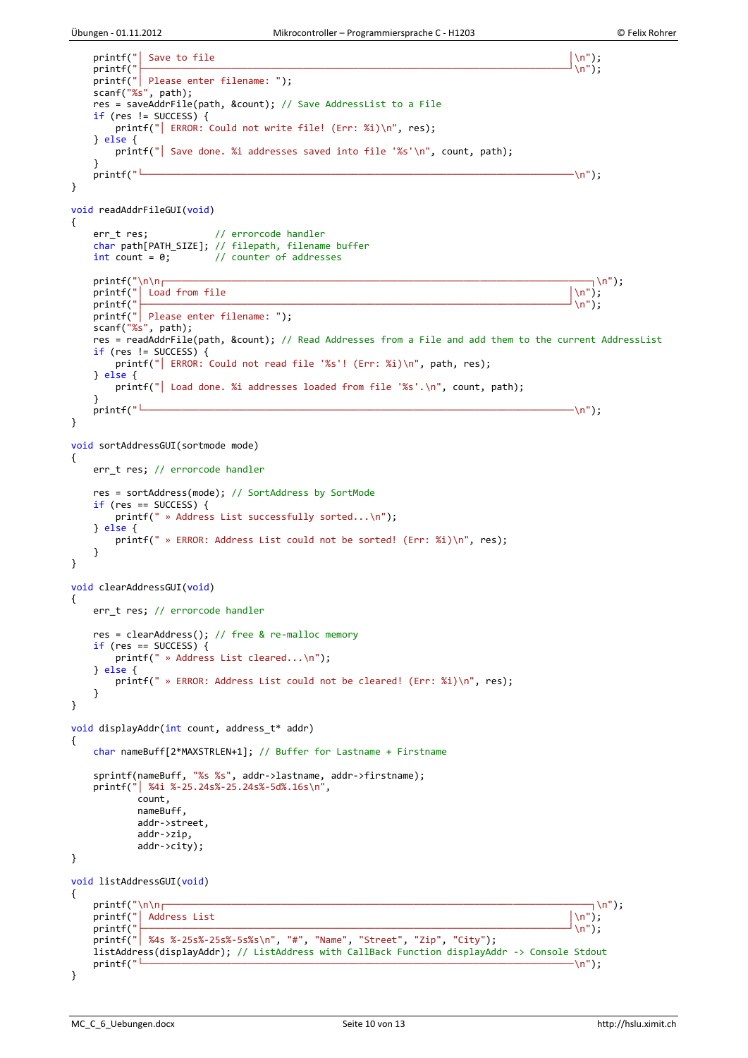```
printf("| Save to file │\setminusn");
 printf("├─────────────────────────────────────────────────────────────────────────────┘\n");
   printf(" Please enter filename: ");
   scanf("%s", path); res = saveAddrFile(path, &count); // Save AddressList to a File
   if (res != SUCCESS) {
        printf("│ ERROR: Could not write file! (Err: %i)\n", res);
    } else {
       printf("| Save done. %i addresses saved into file '%s'\n", count, path);
   }<br>printf("<sup>L</sup>
 printf("└──────────────────────────────────────────────────────────────────────────────\n");
}
void readAddrFileGUI(void)
{
 err_t res; // errorcode handler
 char path[PATH_SIZE]; // filepath, filename buffer
   int count = 0; \frac{1}{2} // counter of addresses
printf("\n\n┌─────────────────────────────┐\n");
printf("| Load from file \setminus \setminus n");
 printf("├─────────────────────────────────────────────────────────────────────────────┘\n");
 printf("│ Please enter filename: ");
   scanf("%s", path); res = readAddrFile(path, &count); // Read Addresses from a File and add them to the current AddressList
    if (res != SUCCESS) {
        printf("│ ERROR: Could not read file '%s'! (Err: %i)\n", path, res);
    } else {
       printf("| Load done. %i addresses loaded from file '%s'.\n", count, path);
    }
    printf("└──────────────────────────────────────────────────────────────────────────────\n");
}
void sortAddressGUI(sortmode mode)
{
    err_t res; // errorcode handler
    res = sortAddress(mode); // SortAddress by SortMode
   if (res == SUCCESS) {
        printf(" » Address List successfully sorted...\n");
    } else {
       printf(" » ERROR: Address List could not be sorted! (Err: %i)\n", res);
    }
}
void clearAddressGUI(void)
{
    err_t res; // errorcode handler
    res = clearAddress(); // free & re-malloc memory
   if (res == SUCCESS) \{ printf(" » Address List cleared...\n");
    } else {
       printf(" » ERROR: Address List could not be cleared! (Err: %i)\n", res);
    }
}
void displayAddr(int count, address_t* addr)
{
    char nameBuff[2*MAXSTRLEN+1]; // Buffer for Lastname + Firstname
    sprintf(nameBuff, "%s %s", addr->lastname, addr->firstname);
    printf("│ %4i %-25.24s%-25.24s%-5d%.16s\n",
            count,
            nameBuff,
            addr->street,
            addr->zip,
            addr->city);
}
void listAddressGUI(void)
{
printf("\n\n┌─────────────────────────────┐\n");
printf("| Address List │\setminusn");
 printf("├─────────────────────────────────────────────────────────────────────────────┘\n");
   printf("| %4s %-25s%-25s%-5s%s\n", "#", "Name", "Street", "Zip", "City");
   listAddress(displayAddr); // ListAddress with CallBack Function displayAddr -> Console Stdout printf("Letter");
 printf("└──────────────────────────────────────────────────────────────────────────────\n");
}
```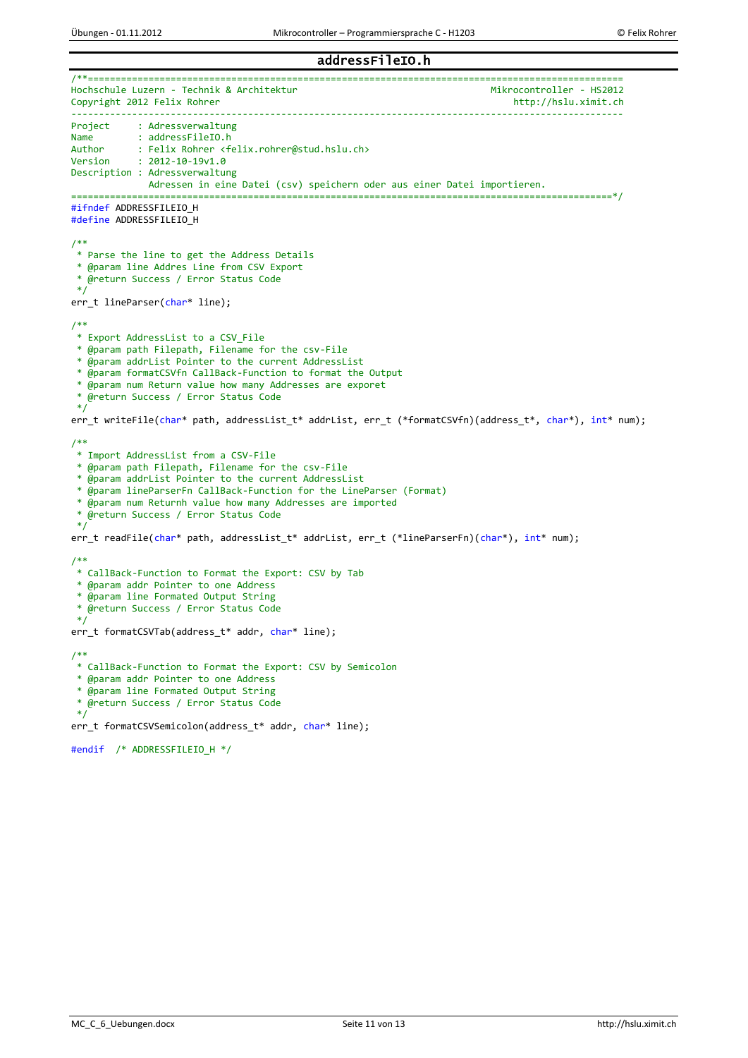## addressFileIO.h

/\*\*=================================================================================================

Hochschule Luzern - Technik & Architektur<br>Copyright 2012 Felix Rohrer Mikrocontroller - HS2012 Copyright 2012 Felix Rohrer ---------------------------------------------------------------------------------------------------- Project : Adressverwaltung Name : addressFileIO.h<br>Author : Felix Robrer <f Author : Felix Rohrer <felix.rohrer@stud.hslu.ch><br>Version : 2012-10-19v1.0  $: 2012 - 10 - 19v1.0$ Description : Adressverwaltung Adressen in eine Datei (csv) speichern oder aus einer Datei importieren. ==================================================================================================\*/ #ifndef ADDRESSFILEIO\_H #define ADDRESSFILEIO\_H /\*\* \* Parse the line to get the Address Details \* @param line Addres Line from CSV Export \* @return Success / Error Status Code \*/ err t lineParser(char\* line); /\*\* \* Export AddressList to a CSV\_File \* @param path Filepath, Filename for the csv-File \* @param addrList Pointer to the current AddressList \* @param formatCSVfn CallBack-Function to format the Output \* @param num Return value how many Addresses are exporet \* @return Success / Error Status Code \*/ err\_t writeFile(char\* path, addressList\_t\* addrList, err\_t (\*formatCSVfn)(address\_t\*, char\*), int\* num); /\*\* \* Import AddressList from a CSV-File \* @param path Filepath, Filename for the csv-File \* @param addrList Pointer to the current AddressList \* @param lineParserFn CallBack-Function for the LineParser (Format) \* @param num Returnh value how many Addresses are imported \* @return Success / Error Status Code \*/ err\_t readFile(char\* path, addressList\_t\* addrList, err\_t (\*lineParserFn)(char\*), int\* num); /\*\* \* CallBack-Function to Format the Export: CSV by Tab \* @param addr Pointer to one Address \* @param line Formated Output String \* @return Success / Error Status Code \*/ err t formatCSVTab(address t\* addr, char\* line); /\*\* \* CallBack-Function to Format the Export: CSV by Semicolon \* @param addr Pointer to one Address \* @param line Formated Output String \* @return Success / Error Status Code \*/ err\_t formatCSVSemicolon(address\_t\* addr, char\* line); #endif /\* ADDRESSFILEIO\_H \*/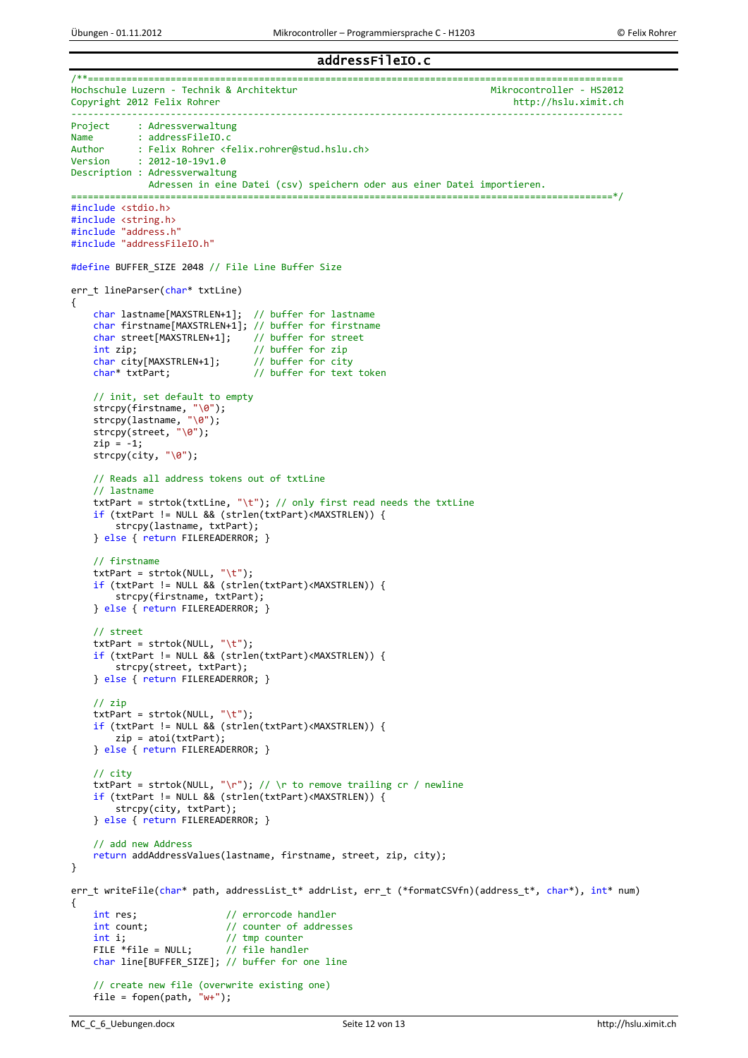## addressFileIO.c

```
/**=================================================================================================
Hochschule Luzern - Technik & Architektur<br>Copyright 2012 Felix Rohrer Mikrocontroller - HS2012
Copyright 2012 Felix Rohrer
                                       ----------------------------------------------------------------------------------------------------
Project : Adressverwaltung
Name : addressFileIO.c<br>Author : Felix Robrer <f
Author : Felix Rohrer <felix.rohrer@stud.hslu.ch><br>Version : 2012-10-19v1.0
            : 2012 - 10 - 19v1.0Description : Adressverwaltung
               Adressen in eine Datei (csv) speichern oder aus einer Datei importieren.
                    ==================================================================================================*/
#include <stdio.h>
#include <string.h>
#include "address.h"
#include "addressFileIO.h"
#define BUFFER_SIZE 2048 // File Line Buffer Size
err_t lineParser(char* txtLine)
{
     char lastname[MAXSTRLEN+1]; // buffer for lastname
    char firstname[MAXSTRLEN+1]; // buffer for firstname<br>char street[MAXSTRLEN+1]; // buffer for street
    char street[MAXSTRLEN+1];
    int zip; \frac{1}{2} // buffer for zip<br>char city[MAXSTRLEN+1]; // buffer for city
    char city[MAXSTRLEN+1];
     char* txtPart; // buffer for text token
     // init, set default to empty
 strcpy(firstname, "\0");
 strcpy(lastname, "\0");
 strcpy(street, "\0");
    zip = -1;strcpy(city, "\0");
     // Reads all address tokens out of txtLine
     // lastname
    txtPart = strtok(txtLine, "\t"); // only first read needs the txtLine
     if (txtPart != NULL && (strlen(txtPart)<MAXSTRLEN)) {
          strcpy(lastname, txtPart);
     } else { return FILEREADERROR; }
     // firstname
    txtPart = strtok(NULL, " \t'');
     if (txtPart != NULL && (strlen(txtPart)<MAXSTRLEN)) {
          strcpy(firstname, txtPart);
     } else { return FILEREADERROR; }
     // street
     txtPart = strtok(NULL, "\t");
     if (txtPart != NULL && (strlen(txtPart)<MAXSTRLEN)) {
          strcpy(street, txtPart);
     } else { return FILEREADERROR; }
     // zip
     txtPart = strtok(NULL, "\t");
     if (txtPart != NULL && (strlen(txtPart)<MAXSTRLEN)) {
         zip = \text{atoi}(\text{txtPart}); } else { return FILEREADERROR; }
     // city
    txtPart = strtok(NULL, "\r"); // \r to remove trailing cr / newline
     if (txtPart != NULL && (strlen(txtPart)<MAXSTRLEN)) {
          strcpy(city, txtPart);
     } else { return FILEREADERROR; }
     // add new Address
     return addAddressValues(lastname, firstname, street, zip, city);
}
err_t writeFile(char* path, addressList_t* addrList, err_t (*formatCSVfn)(address_t*, char*), int* num)
{
    int res; \frac{1}{2} // errorcode handler<br>int count; // counter of addres
                               // counter of addresses
    int i; \frac{1}{2} // tmp counter<br>FILE *file = NULL; // file handler
    FILE *file = NULL:
    char line[BUFFER SIZE]; // buffer for one line
     // create new file (overwrite existing one)
     file = fopen(path, "w+");
```